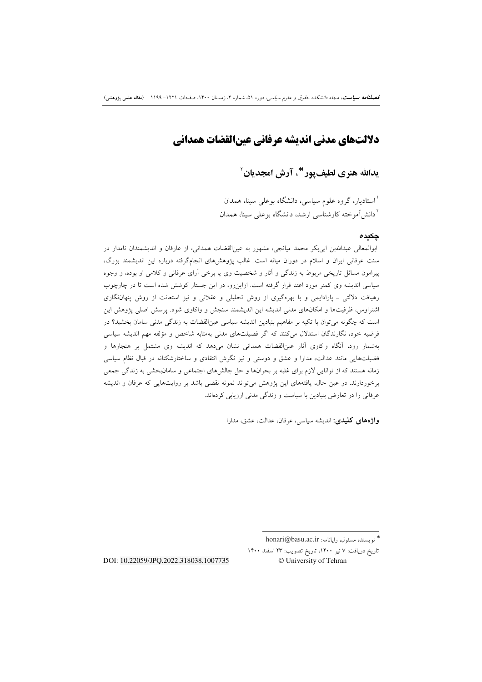# دلالتهاي مدنى انديشه عرفاني عينالقضات همداني

يدالله هنري لطيف يور (\*، آرش امجديان ْ

<sup>۱</sup>استادیار، گروه علوم سیاسی، دانشگاه بوعل<sub>ی</sub> سینا، همدان <sup>۲</sup> دانش آموخته کارشناسی ارشد، دانشگاه بوعلی سینا، همدان

### چکىدە

ابوالمعالي عبداللهبن ابي بكر محمد ميانجي، مشهور به عين|لقضات همداني، از عارفان و انديشمندان نامدار در سنت عرفانی ایران و اسلام در دوران میانه است. غالب پژوهشرهای انجامگرفته درباره این اندیشمند بزرگ، پیرامون مسائل تاریخی مربوط به زندگی و آثار و شخصیت وی یا برخی آرای عرفانی و کلامی او بوده، و وجوه سیاسی اندیشه وی کمتر مورد اعتنا قرار گرفته است. ازاین رو، در این جستار کوشش شده است تا در چارچوب رهیافت دلالتی ـ یارادایمی و با بهرهگیری از روش تحلیلی و عقلانی و نیز استعانت از روش پنهان نگاری اشتراوس، ظرفیتها و امکانهای مدنی اندیشه این اندیشمند سنجش و واکاوی شود. پرسش اصلی پژوهش این است که چگونه می توان با تکیه بر مفاهیم بنیادین اندیشه سیاسی عین|لقضات به زندگی مدنی سامان بخشید؟ در فرضیه خود، نگارندگان استدلال میکنند که اگر فضیلتهای مدنی بهمثابه شاخص و مؤلفه مهم اندیشه سیاسی بهشمار رود، آنگاه واکاوی آثار عین|لقضات همدانی نشان میدهد که اندیشه وی مشتمل بر هنجارها و فضیلتهایی مانند عدالت، مدارا و عشق و دوستی و نیز نگرش انتقادی و ساختارشکنانه در قبال نظام سیاسی زمانه هستند که از توانایی لازم برای غلبه بر بحرانها و حل چالشهای اجتماعی و سامانبخشی به زندگی جمعی برخوردارند. در عین حال، یافتههای این پژوهش میتواند نمونه نقضی باشد بر روایتهایی که عرفان و اندیشه عرفانی را در تعارض بنیادین با سیاست و زندگی مدنی ارزیابی کردهاند.

واژههای کلیدی: اندیشه سیاسی، عرفان، عدالت، عشق، مدارا

تاريخ دريافت: ٧ تير ١۴٠٠، تاريخ تصويب: ٢٣ اسفند ١۴٠٠ © University of Tehran

DOI: 10.22059/JPO.2022.318038.1007735

أنويسنده مسئول، رايانامه: honari@basu.ac.ir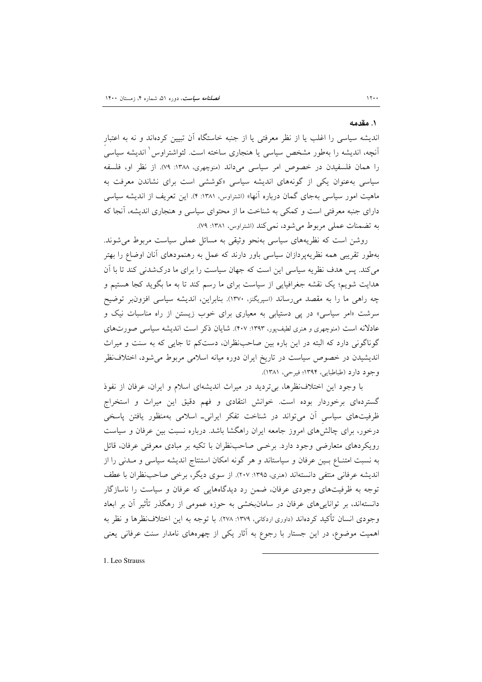#### ١. مقدمه

اندیشه سیاسی را اغلب یا از نظر معرفتی یا از جنبه خاستگاه اَن تبیین کردهاند و نه به اعتبار آنچه، اندیشه را بهطور مشخص سیاسی یا هنجاری ساخته است. لئواشتراوس<sup>\</sup> اندیشه سیاسی را همان فلسفیدن در خصوص امر سیاسی میداند (منوچهری، ۱۳۸۸: ۷۹). از نظر او، فلسفه سیاسی بهعنوان یکی از گونههای اندیشه سیاسی «کوششی است برای نشاندن معرفت به ماهیت امور سیاسی بهجای گمان درباره آنها» (اشتراوس، ۱۳۸۱: ۴). این تعریف از اندیشه سیاسی دارای جنبه معرفتی است و کمکی به شناخت ما از محتوای سیاسی و هنجاری اندیشه، آنجا که به تضمنات عملي مربوط مي شود، نمي كند (اشتراوس، ١٣٨١: ٧٩).

روشن است که نظریههای سیاسی بهنحو وثیقی به مسائل عملی سیاست مربوط می شوند. بهطور تقریبی همه نظریهپردازان سیاسی باور دارند که عمل به رهنمودهای آنان اوضاع را بهتر می کند. پس هدف نظریه سیاسی این است که جهان سیاست را برای ما درکشدنی کند تا با آن هدایت شویم؛ یک نقشه جغرافیایی از سیاست برای ما رسم کند تا به ما بگوید کجا هستیم و چه راهی ما را به مقصد میرساند (اسپریگنز، ۱۳۷۰). بنابراین، اندیشه سیاسی افزون بر توضیح سرشت «امر سیاسی» در پی دستیابی به معیاری برای خوب زیستن از راه مناسبات نیک و عادلانه است (منوچهری و هنری لطیف پور، ۱۳۹۳: ۴۰۷). شایان ذکر است اندیشه سیاسی صورتهای گوناگونی دارد که البته در این باره بین صاحب ظران، دستکم تا جایی که به سنت و میراث اندیشیدن در خصوص سیاست در تاریخ ایران دوره میانه اسلامی مربوط می شود، اختلاف نظر وجود دارد (طباطبايي، ١٣٩۴؛ فيرحي، ١٣٨١).

با وجود این اختلاف نظرها، بی تردید در میراث اندیشهای اسلام و ایران، عرفان از نفوذ گستردهای برخوردار بوده است. خوانش انتقادی و فهم دقیق این میراث و استخراج ظرفیتهای سیاسی آن می تواند در شناخت تفکر ایرانی۔ اسلامی بهمنظور یافتن پاسخی درخور، برای چالشهای امروز جامعه ایران راهگشا باشد. درباره نسبت بین عرفان و سیاست رویکردهای متعارضی وجود دارد. برخمی صاحب ظران با تکیه بر مبادی معرفتی عرفان، قائل به نسبت امتنــاع بــین عرفان و سیاستاند و هر گونه امکان استنتاج اندیشه سیاسی و مــدنی را از اندیشه عرفانی منتفی دانستهاند (هنری، ۱۳۹۵: ۲۰۷). از سوی دیگر، برخی صاحب نظران با عطف توجه به ظرفیتهای وجودی عرفان، ضمن رد دیدگاههایی که عرفان و سیاست را ناسازگار دانستهاند، بر تواناییهای عرفان در سامانبخشی به حوزه عمومی از رهگذر تأثیر آن بر ابعاد وجودي انسان تأكيد كردهاند (داوري اردكاني، ١٣٧٩: ٢٧٨). با توجه به اين اختلاف نظرها و نظر به اهمیت موضوع، در این جستار با رجوع به آثار یکی از چهرههای نامدار سنت عرفانی یعنی

1. Leo Strauss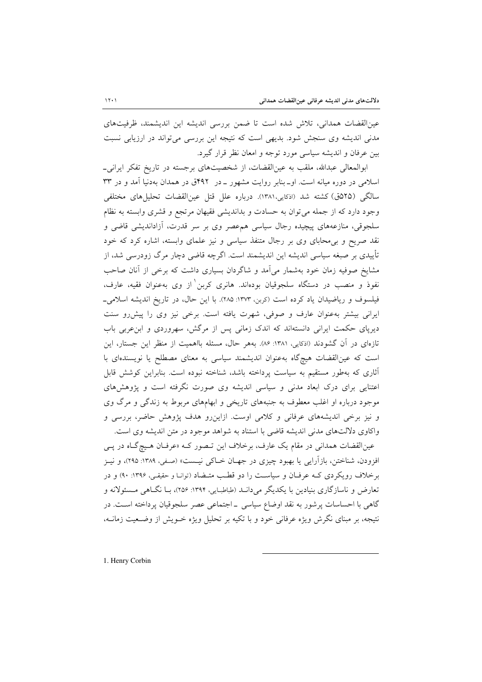عینالقضات همدانی، تلاش شده است تا ضمن بررسی اندیشه این اندیشمند، ظرفیتهای مدنی اندیشه وی سنجش شود. بدیهی است که نتیجه این بررسی می تواند در ارزیابی نسبت بین عرفان و اندیشه سیاسی مورد توجه و امعان نظر قرار گیرد.

ابوالمعالی عبدالله، ملقب به عینالقضات، از شخصیتهای برجسته در تاریخ تفکر ایرانی۔ اسلامی در دوره میانه است. او\_بنابر روایت مشهور \_ در ۴۹۲ق در همدان بهدنیا آمد و در ۳۳ سالگی (۲۵هق) کشته شد (اذکایی،۱۳۸۱). درباره علل قتل عینالقضات تحلیلهای مختلفی وجود دارد كه از جمله مي توان به حسادت و بدانديشي فقيهان مرتجع و قشري وابسته به نظام سلجوقی، منازعههای پیچیده رجال سیاسی همءصر وی بر سر قدرت، آزاداندیشی قاضی و نقد صریح و بی محابای وی بر رجال متنفذ سیاسی و نیز علمای وابسته، اشاره کرد که خود تأییدی بر صبغه سیاسی اندیشه این اندیشمند است. اگرچه قاضی دچار مرگ زودرسی شد، از مشایخ صوفیه زمان خود بهشمار می آمد و شاگردان بسیاری داشت که برخی از آنان صاحب نفوذ و منصب در دستگاه سلجوقیان بودهاند. هانری کربن از وی بهعنوان فقیه، عارف، فیلسوف و ریاضیدان یاد کرده است (کربن، ۱۳۷۳: ۲۸۵). با این حال، در تاریخ اندیشه اسلامی\_ ایرانی بیشتر به عنوان عارف و صوفی، شهرت یافته است. برخی نیز وی را پیش رو سنت دیرپای حکمت ایرانی دانستهاند که اندک زمانی پس از مرگش، سهروردی و ابنءربی باب تازهای در آن گشودند (اذکایی، ۱۳۸۱: ۸۶). بههر حال، مسئله بااهمیت از منظر این جستار، این است که عینالقضات هیچگاه بهعنوان اندیشمند سیاسی به معنای مصطلح یا نویسندهای با آثاری که بهطور مستقیم به سیاست پرداخته باشد، شناخته نبوده است. بنابراین کوشش قابل اعتنایی برای درک ابعاد مدنی و سیاسی اندیشه وی صورت نگرفته است و پژوهشهای موجود درباره او اغلب معطوف به جنبههای تاریخی و ابهامهای مربوط به زندگی و مرگ وی و نیز برخی اندیشههای عرفانی و کلامی اوست. ازاین رو هدف پژوهش حاضر، بررسی و واكاوي دلالتهاي مدنى انديشه قاضي با استناد به شواهد موجود در متن انديشه وي است.

عین|لقضات همدانی در مقام یک عارف، برخلاف این تـصور کـه «عرفـان هـیچگـاه در پـی افزودن، شناختن، بازآرایی یا بهبود چیزی در جهـان خــاکی نیـست» (صـفی، ۱۳۸۹: ۲۹۵)، و نیــز برخلاف رویکردی کـه عرفـان و سیاسـت را دو قطـب متـضاد (توانـا و حقیقـی، ۱۳۹۶: ۹۰) و در تعارض و ناسازگاری بنیادین با یکدیگر می دانــد (طباطبـایی، ۱۳۹۴: ۲۵۶)، بــا نگــاهی مــسئولانه و گاهی با احساسات پرشور به نقد اوضاع سیاسی ـ اجتماعی عصر سلجوقیان پرداخته است. در نتیجه، بر مبنای نگرش ویژه عرفانی خود و با تکیه بر تحلیل ویژه خـویش از وضـعیت زمانــه،

1. Henry Corbin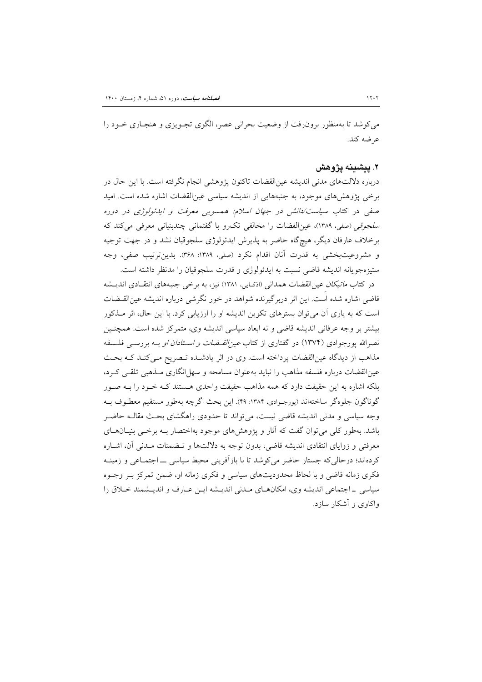می کوشد تا بهمنظور برون رفت از وضعیت بحرانی عصر، الگوی تجـویزی و هنجـاری خـود را عرضه كند.

### ۲. پیشینه پژوهش

درباره دلالتهای مدنی اندیشه عین|لقضات تاکنون پژوهشی انجام نگرفته است. با این حال در برخی پژوهشهای موجود، به جنبههایی از اندیشه سیاسی عینالقضات اشاره شده است. امید صفی در کتاب سیاست/دانش در جهان اسلام: همسویی معرفت و ایدئولوژی در دوره سلجوقي (صفي، ١٣٨٩)، عين|لقضات را مخالفي تكرو با گفتماني چندبنياني معرفي مي كند كه برخلاف عارفان دیگر، هیچگاه حاضر به پذیرش ایدئولوژی سلجوقیان نشد و در جهت توجیه و مشروعيتبخشي به قدرت آنان اقدام نكرد (صفى، ١٣٨٩: ٣۶٨). بدين ترتيب صفى، وجه ستيزهجويانه انديشه قاضي نسبت به ايدئولوژي و قدرت سلجوقيان را مدنظر داشته است.

در کتاب *ماتیکان عین*القضات همدانی (اذکایی، ۱۳۸۱) نیز، به برخی جنبههای انتقـادی اندیــشه قاضی اشاره شده است. این اثر دربرگیرنده شواهد در خور نگرشی درباره اندیشه عین|لقیضات است که به یاری آن می توان بسترهای تکوین اندیشه او را ارزیابی کرد. با این حال، اثر مـذکور بیشتر بر وجه عرفانی اندیشه قاضی و نه ابعاد سیاسی اندیشه وی، متمرکز شده است. همچنـین نصرالله یورجوادی (۱۳۷۴) در گفتاری از کتاب *عین القبضات و استادان او* بـه بررسـی فلـسفه مذاهب از دیدگاه عینالقضات پرداخته است. وی در اثر یادشـده تـصریح مـیکنـد کـه بحـث عین|لقضات درباره فلسفه مذاهب را نباید بهعنوان مسامحه و سهل|نگاری مـذهبی تلقـی کـرد، بلکه اشاره به این حقیقت دارد که همه مذاهب حقیقت واحدی هستند کـه خـود را بـه صـور گوناگون جلوهگر ساختهاند (پورجـوادي، ۱۳۸۴: ۴۹). اين بحث اگرچه بهطور مستقيم معطـوف بـه وجه سیاسی و مدنی اندیشه قاضی نیست، می تواند تا حدودی راهگشای بحث مقالـه حاضـر باشد. بهطور کلی می توان گفت که آثار و پژوهش های موجود بهاختصار بـه برخــی بنیـان۱حای معرفتی و زوایای انتقادی اندیشه قاضی، بدون توجه به دلالتها و تـضمنات مـدنی آن، اشـاره کردهاند؛ درحالی که جستار حاضر می کوشد تا با بازآفرینی محیط سیاسی ـــ اجتمــاعی و زمینــه فکری زمانه قاضی و با لحاظ محدودیتهای سیاسی و فکری زمانه او، ضمن تمرکز بـر وجـوه سیاسی \_ اجتماعی اندیشه وی، امکان های مـدنی اندیـشه ایـن عـارف و اندیـشمند خـلاق را واکاوی و آشکار سازد.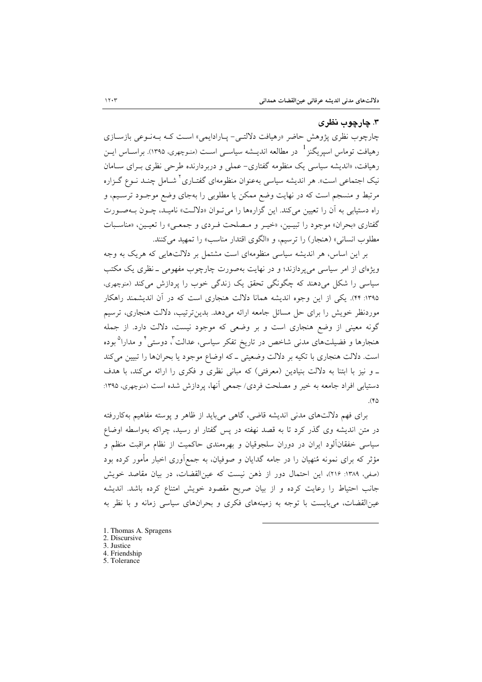### ۳. چارچوب نظری

چارچوب نظری پژوهش حاضر «رهیافت دلالتبی- پیارادایمی» است کـه بـهنـوعی بازسـازی رهیافت توماس اسیریگنز <sup>1</sup> در مطالعه اندیــشه سیاســی اســت (منـوچهری، ۱۳۹۵). براســاس ایــن رهیافت، «اندیشه سیاسی یک منظومه گفتاری- عملی و دربردارنده طرحی نظری بـرای سـامان نیک اجتماعی است». هر اندیشه سیاسی بهعنوان منظومهای گفتـاری<sup>۲</sup> شــامل چنــد نــوع گــزاره مرتبط و منسجم است که در نهایت وضع ممکن یا مطلوبی را بهجای وضع موجـود ترسـیم، و راه دستیابی به آن را تعیین میکند. این گزارهها را می تـوان «دلالـت» نامیـد، چـون بـهصـورت گفتاري «بحران» موجود را تبيـين، «خيـر و مـصلحت فـردي و جمعـي» را تعيـين، «مناسـبات مطلوب انساني» (هنجار) را ترسيم، و «الگوى اقتدار مناسب» را تمهيد مى كنند.

بر این اساس، هر اندیشه سیاسی منظومهای است مشتمل بر دلالتهایی که هریک به وجه ویژهای از امر سیاسی می پردازند؛ و در نهایت بهصورت چارچوب مفهومی ـ نظری یک مکتب سیاسی را شکل می دهند که چگونگی تحقق یک زندگی خوب را پردازش می کند (منوچهری، ۱۳۹۵: ۴۴). یکی از این وجوه اندیشه همانا دلالت هنجاری است که در آن اندیشمند راهکار موردنظر خویش را برای حل مسائل جامعه ارائه میدهد. بدینترتیب، دلالت هنجاری، ترسیم گونه معینی از وضع هنجاری است و بر وضعی که موجود نیست، دلالت دارد. از جمله هنجارها و فضیلتهای مدن<sub>ی</sub> شاخص در تاریخ تفکر سیاسی، عدالت ٌّ. دوستی ٌ و مدارا<sup>۵</sup> بوده است. دلالت هنجاری با تکیه بر دلالت وضعیتی ـ که اوضاع موجود یا بحرانها را تبیین میکند ـ و نیز با ابتنا به دلالت بنیادین (معرفتی) که مبانی نظری و فکری را ارائه میکند، با هدف دستیابی افراد جامعه به خیر و مصلحت فردی/ جمعی آنها، پردازش شده است (منوچهری، ۱۳۹۵:  $(4)$ 

برای فهم دلالتهای مدنی اندیشه قاضی، گاهی میباید از ظاهر و پوسته مفاهیم بهکاررفته در متن اندیشه وی گذر کرد تا به قصد نهفته در پس گفتار او رسید، چراکه بهواسطه اوضاع سیاسی خفقانآلود ایران در دوران سلجوقیان و بهرهمندی حاکمیت از نظام مراقبت منظم و مؤثر که برای نمونه مُنهیان را در جامه گدایان و صوفیان، به جمع|وری اخبار مأمور کرده بود (صفى، ١٣٨٩: ٢١۶)، اين احتمال دور از ذهن نيست كه عين|لقضات، در بيان مقاصد خويش جانب احتیاط را رعایت کرده و از بیان صریح مقصود خویش امتناع کرده باشد. اندیشه عین|لقضات، می بایست با توجه به زمینههای فکری و بحرانهای سیاسی زمانه و با نظر به

- 1. Thomas A. Spragens
- 2. Discursive
- 3. Justice
- 4. Friendship 5 Tolerance
-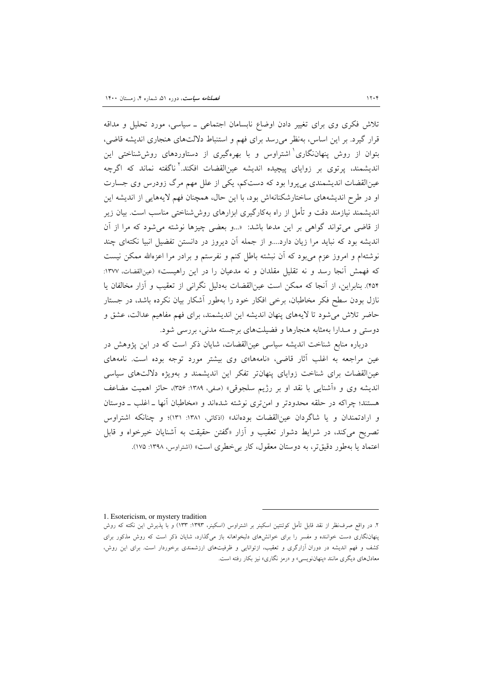تلاش فکری وی برای تغییر دادن اوضاع نابسامان اجتماعی ــ سیاسی، مورد تحلیل و مداقه قرار گیرد. بر این اساس، بهنظر می رسد برای فهم و استنباط دلالتهای هنجاری اندیشه قاضی، بتوان از روش پنهاننگاری<sup>\</sup> اشتراوس و با بهرهگیری از دستاوردهای روششناخت<sub>ی</sub> این اندیشمند، پرتوی بر زوایای پیچیده اندیشه عینالقضات افکند.<sup>۲</sup> ناگفته نماند که اگرچه عینالقضات اندیشمندی بی پروا بود که دستکم، یکی از علل مهم مرگ زودرس وی جسارت او در طرح اندیشههای ساختارشکنانهاش بود، با این حال، همچنان فهم لایههایی از اندیشه این اندیشمند نیازمند دقت و تأمل از راه بهکارگیری ابزارهای روششناختی مناسب است. بیان زیر از قاضی می تواند گواهی بر این مدعا باشد: «...و بعضی چیزها نوشته می شود که مرا از آن اندیشه بود که نباید مرا زیان دارد....و از جمله اَن دیروز در دانستن تفضیل انبیا نکتهای چند نوشتهام و امروز عزم می بود که آن نبشته باطل کنم و نفرستم و برادر مرا اعزهالله ممکن نیست که فهمش آنجا رسد و نه تقلیل مقلدان و نه مدعیان را در این راهیست» (عینالقضات، ۱۳۷۷: ۴۵۴). بنابراین، از آنجا که ممکن است عینالقضات بهدلیل نگرانی از تعقیب و آزار مخالفان یا نازل بودن سطح فکر مخاطبان، برخی افکار خود را بهطور آشکار بیان نکرده باشد، در جستار حاضر تلاش می شود تا لایههای پنهان اندیشه این اندیشمند، برای فهم مفاهیم عدالت، عشق و دوستی و مـدارا بهمثابه هنجارها و فضیلتهای برجسته مدنی، بررسی شود.

درباره منابع شناخت اندیشه سیاسی عینالقضات، شایان ذکر است که در این پژوهش در عین مراجعه به اغلب آثار قاضی، «نامهها»ی وی بیشتر مورد توجه بوده است. نامههای عین القضات برای شناخت زوایای پنهانتر تفکر این اندیشمند و بهویژه دلالتهای سیاسی اندیشه وی و «اَشنایی با نقد او بر رژیم سلجوقی» (صفی، ۱۳۸۹: ۳۵۶)، حائز اهمیت مضاعف هستند؛ چراکه در حلقه محدودتر و امن تری نوشته شدهاند و «مخاطبان أنها ـ اغلب ـ دوستان و ارادتمندان و یا شاگردان عین القضات بودهاند» (اذکائی، ۱۳۸۱: ۱۳۱)؛ و چنانکه اشتراوس تصریح میکند، در شرایط دشوار تعقیب و آزار «گفتن حقیقت به آشنایان خیرخواه و قابل اعتماد یا بهطور دقیقتر، به دوستان معقول، کار بی خطری است» (اشتراوس، ۱۳۹۸: ۱۷۵).

1. Esotericism, or mystery tradition

۲. در واقع صرف نظر از نقد قابل تأمل کوئنتین اسکینر بر اشتراوس (اسکینر، ۱۳۹۳: ۱۳۳) و با پذیرش این نکته که روش پنهاننگاری دست خواننده و مفسر را برای خوانشهای دلبخواهانه باز میگذارد، شایان ذکر است که روش مذکور برای کشف و فهم اندیشه در دوران آزارگری و تعقیب، ازتوانایی و ظرفیتهای ارزشمندی برخوردار است. برای این روش، معادلهای دیگری مانند «پنهاننویسی» و «رمز نگاری» نیز بکار رفته است.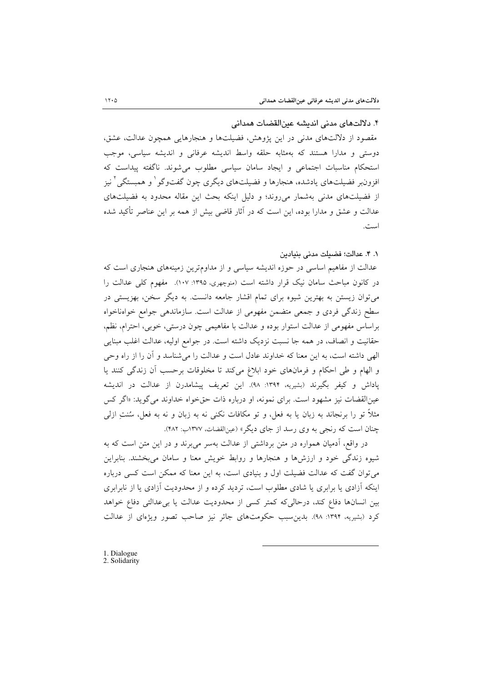### ۴. دلالتهای مدنی اندیشه عینالقضات همدانی

مقصود از دلالتهای مدنی در این پژوهش، فضیلتها و هنجارهایی همچون عدالت، عشق، دوستی و مدارا هستند که بهمثابه حلقه واسط اندیشه عرفانی و اندیشه سیاسی، موجب استحکام مناسبات اجتماعی و ایجاد سامان سیاسی مطلوب می شوند. ناگفته پیداست که افزون<sub>ا</sub>بر فضیلتهای یادشده، هنجارها و فضیلتهای دیگری چون گفتوگو ٰ و همبستگی <sup>۲</sup> نیز از فضیلتهای مدنی بهشمار میروند؛ و دلیل اینکه بحث این مقاله محدود به فضیلتهای عدالت و عشق و مدارا بوده، این است که در آثار قاضی بیش از همه بر این عناصر تأکید شده است.

### ٠. ۴. عدالت؛ فضيلت مدنى بنيادين

عدالت از مفاهیم اساسی در حوزه اندیشه سیاسی و از مداومترین زمینههای هنجاری است که در کانون مباحث سامان نیک قرار داشته است (منوچهری، ۱۳۹۵: ۱۰۷). مفهوم کلی عدالت را می توان زیستن به بهترین شیوه برای تمام اقشار جامعه دانست. به دیگر سخن، بهزیستی در سطح زندگی فردی و جمعی متضمن مفهومی از عدالت است. سازماندهی جوامع خوامناخواه براساس مفهومی از عدالت استوار بوده و عدالت با مفاهیمی چون درستی، خوبی، احترام، نظم، حقانیت و انصاف، در همه جا نسبت نزدیک داشته است. در جوامع اولیه، عدالت اغلب مبنایی الهي داشته است، به اين معنا كه خداوند عادل است و عدالت را مي شناسد و آن را از راه وحي و الهام و طي احكام و فرمانهاي خود ابلاغ ميكند تا مخلوقات برحسب أن زندگي كنند يا یاداش و کیفر بگیرند (بشیریه، ۱۳۹۴: ۹۸). این تعریف پیشامدرن از عدالت در اندیشه عین القضات نیز مشهود است. برای نمونه، او درباره ذات حق خواه خداوند می گوید: «اگر کس مثلاً تو را برنجاند به زبان یا به فعل، و تو مکافات نکنی نه به زبان و نه به فعل، سُنتِ ازلی چنان است که رنجی به وی رسد از جای دیگر» (عینالقضات، ۱۳۷۷ب: ۴۸۲).

در واقع، ادمیان همواره در متن برداشتی از عدالت بهسر می برند و در این متن است که به شیوه زندگی خود و ارزش ها و هنجارها و روابط خویش معنا و سامان می بخشند. بنابراین میتوان گفت که عدالت فضیلت اول و بنیادی است، به این معنا که ممکن است کسی درباره اینکه آزادی یا برابری یا شادی مطلوب است، تردید کرده و از محدودیت آزادی یا از نابرابری بین انسانها دفاع کند، درحالی که کمتر کسی از محدودیت عدالت یا بی عدالتی دفاع خواهد کرد (بشیریه، ۱۳۹۴: ۹۸). بدین سبب حکومتهای جائر نیز صاحب تصور ویژهای از عدالت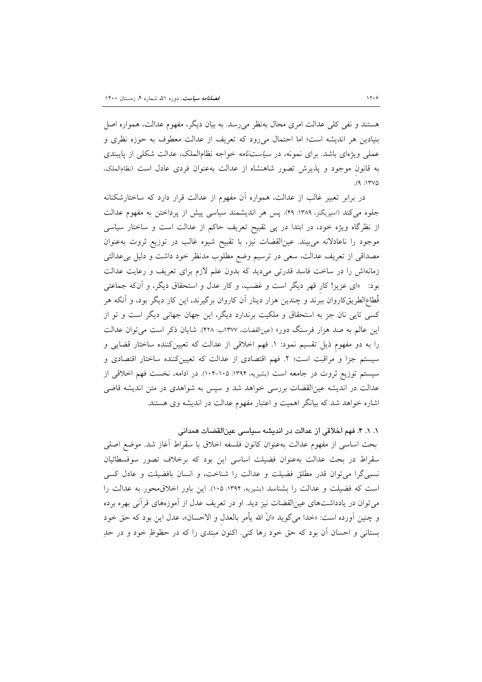هستند و نفی کلی عدالت امری محال بهنظر میرسد. به بیان دیگر، مفهوم عدالت، همواره اصل بنیادین هر اندیشه است؛ اما احتمال میرود که تعریف از عدالت معطوف به حوزه نظری و عملی ویژهای باشد. برای نمونه، در *سیاستنامه* خواجه نظام|لملک، عدالت شکلی از پایبندی به قانون موجود و پذیرش تصور شاهنشاه از عدالت بهعنوان فردی عادل است (نظام الملک،  $(9.117V)$ 

در برابر تعبیر غالب از عدالت، همواره أن مفهوم از عدالت قرار دارد که ساختارشکنانه جلوه می کند (اسپریگنز، ۱۳۸۹: ۴۹). پس هر اندیشمند سیاسی پیش از پرداختن به مفهوم عدالت از نظرگاه ویژه خود، در ابتدا در پی تقبیح تعریف حاکم از عدالت است و ساختار سیاسی موجود را ناعادلانه میبیند. عینالقضات نیز، با تقبیح شیوه غالب در توزیع ثروت بهعنوان مصداقی از تعریف عدالت، سعی در ترسیم وضع مطلوب مدنظر خود داشت و دلیل بی عدالتی زمانهاش را در ساخت فاسد قدرتی میدید که بدون علم لازم برای تعریف و رعایت عدالت بود: «ای عزیز! کار قهر دیگر است و غضب، و کار عدل و استحقاق دیگر، و آنکه جماعتی قُطاع|لطریقکاروان ببرند و چندین هزار دینار آن کاروان برگیرند، این کار دیگر بود، و آنکه هر کسی تایی نان جز به استحقاق و ملکیت برندارد دیگر، این جهان جهانی دیگر است و تو از این عالم به صد هزار فرسنگ دور» (عینالقضات، ۱۳۷۷ب: ۴۲۸). شایان ذکر است میتوان عدالت را به دو مفهوم ذیل تقسیم نمود: ۱. فهم اخلاقی از عدالت که تعیینکننده ساختار قضایی و سیستم جزا و مراقبت است؛ ٢. فهم اقتصادی از عدالت که تعیینکننده ساختار اقتصادی و سیستم توزیع ثروت در جامعه است (بشیریه، ۱۳۹۴: ۱۰۵-۱۰۴). در ادامه، نخست فهم اخلاقی از عدالت در اندیشه عینالقضات بررسی خواهد شد و سپس به شواهدی در متن اندیشه قاضی اشاره خواهد شد که بیانگر اهمیت و اعتبار مفهوم عدالت در اندیشه وی هستند.

١. ١. ۴. فهم اخلاقی از عدالت در اندیشه سیاسی عینالقضات همدانی

بحث اساسی از مفهوم عدالت بهعنوان كانون فلسفه اخلاق با سقراط أغاز شد. موضع اصلی سقراط در بحث عدالت بهعنوان فضيلت اساسى اين بود كه برخلاف تصور سوفسطائيان نسبی گرا می توان قدر مطلق فضیلت و عدالت را شناخت، و انسان بافضیلت و عادل کسی است که فضیلت و عدالت را بشناسد (بشیریه، ۱۳۹۴: ۱۰۵). این باور اخلاقیمحور به عدالت را می توان در یادداشتهای عین|لقضات نیز دید. او در تعریف عدل از آموزههای قرآنی بهره برده و چنين أورده است: «خدا مي گويد «انَّ الله يأمر بالعدل و الاحسان»، عدل اين بود كه حقَّ خود بستانی و احسان آن بود که حق خود رها کنی. اکنون مبتدی را که در حظوظِ خود و در حدِ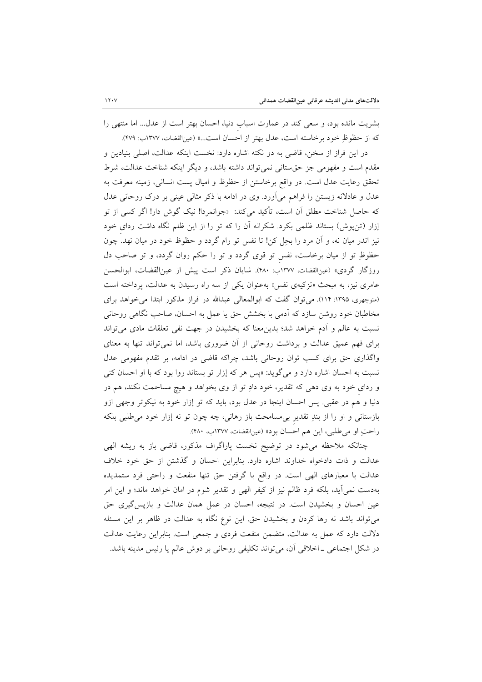بشریت مانده بود، و سعی کند در عمارت اسباب دنیا، احسان بهتر است از عدل... اما منتهی را كه از حظوظِ خود برخاسته است، عدل بهتر از احسان است...» (عینالقضات، ١٣٧٧ب: ٤٧٩).

در این فراز از سخن، قاضی به دو نکته اشاره دارد: نخست اینکه عدالت، اصلی بنیادین و مقدم است و مفهومی جز حق ستانی نمی تواند داشته باشد، و دیگر اینکه شناخت عدالت، شرط تحقق رعايت عدل است. در واقع برخاستن از حظوظ و اميال پست انساني، زمينه معرفت به عدل و عادلانه زیستن را فراهم میآورد. وی در ادامه با ذکر مثالی عینی بر درک روحانی عدل که حاصل شناخت مطلق آن است، تأکید میکند: «جوانمردا! نیک گوش دار! اگر کسی از تو إزار (تن پوش) بستاند ظلمی بکرد. شکرانه آن را که تو را از این ظلم نگاه داشت ردای خود نیز اندر میان نه، و آن مرد را بحِل کن! تا نفس تو رام گردد و حظوظ خود در میان نهد. چون حظوظِ تو از میان برخاست، نفس تو قوی گردد و تو را حکم روان گردد، و تو صاحب دل روزگار گردي» (عينالقضات، ١٣٧٧ب: ٣٨٠). شايان ذكر است پيش از عين|لقضات، ابوالحسن عامری نیز، به مبحث «تزکیهی نفس» بهعنوان یکی از سه راه رسیدن به عدالت، پرداخته است (منوچهری، ۱۳۹۵: ۱۱۴). می توان گفت که ابوالمعالی عبدالله در فراز مذکور ابتدا می خواهد برای مخاطبان خود روشن سازد که آدمی با بخشش حق یا عمل به احسان، صاحب نگاهی روحانی نسبت به عالم و أدم خواهد شد؛ بدین.معنا که بخشیدن در جهت نفی تعلقات مادی میتواند برای فهم عمیق عدالت و برداشت روحانی از آن ضروری باشد، اما نمیٍتواند تنها به معنای واگذاری حق برای کسب توان روحانی باشد، چراکه قاضی در ادامه، بر تقدم مفهومی عدل نسبت به احسان اشاره دارد و میگوید: «پس هر که إزار تو بستاند روا بود که با او احسان کنی و ردای خود به وی دهی که تقدیر، خود دادِ تو از وی بخواهد و هیچ مساحمت نکند، هم در دنیا و هم در عقبی. پس احسان اینجا در عدل بود، باید که تو إزار خود به نیکوتر وجهی ازو بازستانی و او را از بندِ تقدیر بیِ مسامحت باز رهانی، چه چون تو نه إزار خود میِ طلبی بلکه راحتِ او مي طلبي، اين هم احسان بود» (عينالقضات، ١٣٧٧ب. ٤٨٠).

چنانکه ملاحظه میشود در توضیح نخست پاراگراف مذکور، قاضی باز به ریشه الهی عدالت و ذات دادخواه خداوند اشاره دارد. بنابراين احسان و گذشتن از حق خود خلاف عدالت با معیارهای الهی است. در واقع با گرفتن حق تنها منفعت و راحتی فرد ستمدیده بهدست نمی[ید، بلکه فرد ظالم نیز از کیفر الهی و تقدیر شوم در امان خواهد ماند؛ و این امر عین احسان و بخشیدن است. در نتیجه، احسان در عمل همان عدالت و بازپس گیری حق می تواند باشد نه رها کردن و بخشیدن حق این نوع نگاه به عدالت در ظاهر بر این مسئله دلالت دارد که عمل به عدالت، متضمن منفعت فردی و جمعی است. بنابراین رعایت عدالت در شکل اجتماعی ـ اخلاقی آن، میتواند تکلیفی روحانی بر دوش عالم یا رئیس مدینه باشد.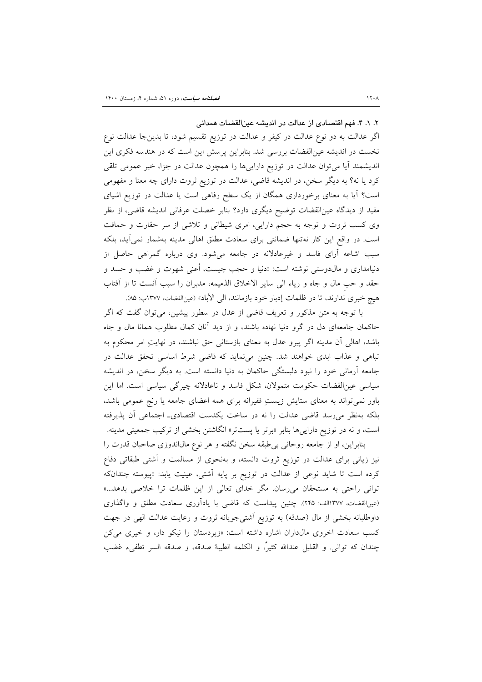٢. ١. ۴. فهم اقتصادى از عدالت در انديشه عين القضات همدانى

اگر عدالت به دو نوع عدالت در کیفر و عدالت در توزیع تقسیم شود، تا بدینجا عدالت نوع نخست در اندیشه عینالقضات بررسی شد. بنابراین پرسش این است که در هندسه فکری این اندیشمند آیا میتوان عدالت در توزیع داراییها را همچون عدالت در جزا، خیر عمومی تلقی کرد یا نه؟ به دیگر سخن، در اندیشه قاضی، عدالت در توزیع ثروت دارای چه معنا و مفهومی است؟ آیا به معنای برخورداری همگان از یک سطح رفاهی است یا عدالت در توزیع اشیای مفید از دیدگاه عین|لقضات توضیح دیگری دارد؟ بنابر خصلت عرفانی اندیشه قاضی، از نظر وی کسب ثروت و توجه به حجم دارایی، امری شیطانی و تلاشی از سر حقارت و حماقت است. در واقع این کار نهتنها ضمانتی برای سعادت مطلق اهالی مدینه بهشمار نمی آید، بلکه سبب اشاعه آرای فاسد و غیرعادلانه در جامعه میشود. وی درباره گمراهی حاصل از دنیامداری و مال**دوستی نوشته است: «دنیا و حجب چیست، أع**نی شهوت و غضب و حسد و حقد و حب مال و جاه و رياء الى ساير الاخلاق الذميمه، مدبران را سبب أنست تا از أفتاب هيچ خبري ندارند، تا در ظلمات إدبار خود بازمانند، الى الأباد» (عينالفضات، ١٣٧٧ب: ٨۵).

با توجه به متن مذکور و تعریف قاضی از عدل در سطور پیشین، میٍتوان گفت که اگر حاکمان جامعهای دل در گرو دنیا نهاده باشند، و از دید آنان کمال مطلوب همانا مال و جاه باشد، اهالی آن مدینه اگر پیرو عدل به معنای بازستانی حق نباشند، در نهایتِ امر محکوم به تباهی و عذاب ابدی خواهند شد. چنین میiماید که قاضی شرط اساسی تحقق عدالت در جامعه آرمانی خود را نبود دلبستگی حاکمان به دنیا دانسته است. به دیگر سخن، در اندیشه سیاسی عین القضات حکومت متمولان، شکل فاسد و ناعادلانه چیرگی سیاسی است. اما این باور نمیتواند به معنای ستایش زیستِ فقیرانه برای همه اعضای جامعه یا رنج عمومی باشد، بلکه بهنظر میرسد قاضی عدالت را نه در ساخت یکدست اقتصادی۔ اجتماعی آن پذیرفته است، و نه در توزیع دارای<sub>م</sub>ها بنابر «برتر یا پستتر» انگاشتن بخشی از ترکیب جمعیتی مدینه.

بنابراین، او از جامعه روحانی بی طبقه سخن نگفته و هر نوع مال(ندوزی صاحبان قدرت را نیز زیانی برای عدالت در توزیع ثروت دانسته، و بهنحوی از مسالمت و آشتی طبقاتی دفاع کرده است تا شاید نوعی از عدالت در توزیع بر پایه آشتی، عینیت یابد: «پیوسته چندانکه توانی راحتی به مستحقان میرسان. مگر خدای تعالی از این ظلمات ترا خلاصی بدهد...» (عینالقضات، ١٣٧٧لف: ٢۴۵). چنین پیداست که قاضی با یادآوری سعادت مطلق و واگذاری داوطلبانه بخشی از مال (صدقه) به توزیع آشتیجویانه ثروت و رعایت عدالت الهی در جهت کسب سعادت اخروی مال داران اشاره داشته است: «زیردستان را نیکو دار، و خیری می کن چندان كه تواني. و القليل عندالله كثيرٌ، و الكلمه الطيبهُ صدقه، و صدقه السر تطفيء غضب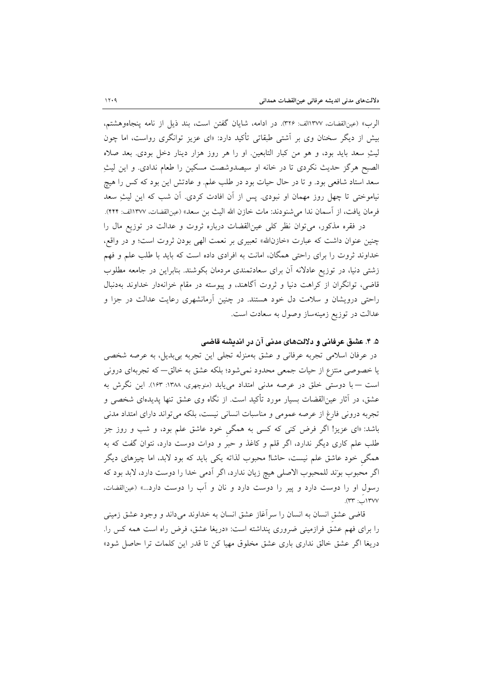الرب» (عينالقضات، ١٣٧٧لف: ٣٢٤). در ادامه، شايان گفتن است، بند ذيل از نامه پنجاهوهشتم، بیش از دیگر سخنان وی بر اَشتی طبقاتی تأکید دارد: «ای عزیز توانگری رواست، اما چون لیثِ سعد باید بود، و هو من کبار التابعین او را هر روز هزار دینار دخل بودی. بعد صلاه الصبح هرگز حدیث نکردی تا در خانه او سیصدوشصت مسکین را طعام ندادی. و این لیثِ سعد استاد شافعی بود. و تا در حال حیات بود در طلب علم. و عادتش این بود که کس را هیچ نیاموختی تا چهل روز مهمان او نبودی. پس از آن افادت کردی. آن شب که این لیثِ سعد فرمان يافت، از اسمان ندا مي شنودند: مات خازن الله اليث بن سعد» (عينالقضات، ١٣٧٧الف: ٤٤٢).

در فقره مذکور، می توان نظر کلی عینالقضات درباره ثروت و عدالت در توزیع مال را چنین عنوان داشت که عبارت «خازنالله» تعبیری بر نعمت الهی بودن ثروت است؛ و در واقع، خداوند ثروت را برای راحتی همگان، امانت به افرادی داده است که باید با طلب علم و فهم زشتی دنیا، در توزیع عادلانه آن برای سعادتمندی مردمان بکوشند. بنابراین در جامعه مطلوب قاضی، توانگران از کراهت دنیا و ثروت آگاهند، و پیوسته در مقام خزانهدار خداوند بهدنبال راحتی درویشان و سلامت دل خود هستند. در چنین آرمانشهری رعایت عدالت در جزا و عدالت در توزیع زمینهساز وصول به سعادت است.

## ۵. ۴. عشق عرفانی و دلالتهای مدنی آن در اندیشه قاضی

در عرفان اسلامی تجربه عرفانی و عشق بهمنزله تجلی این تجربه بیبدیل، به عرصه شخصی یا خصوصی منتزع از حیات جمعی محدود نمیشود؛ بلکه عشق به خالق–که تجربهای درونی است — با دوستی خلق در عرصه مدنی امتداد می یابد (منوچهری، ۱۳۸۸: ۱۶۳). این نگرش به عشق، در آثار عین|لقضات بسیار مورد تأکید است. از نگاه وی عشق تنها پدیدهای شخصی و تجربه درونی فارغ از عرصه عمومی و مناسبات انسانی نیست، بلکه می تواند دارای امتداد مدنی باشد: «ای عزیز! اگر فرض کنی که کسی به همگی خود عاشق علم بود، و شب و روز جز طلب علم کاری دیگر ندارد، اگر قلم و کاغذ و حبر و دوات دوست دارد، نتوان گفت که به همگی خود عاشق علم نیست، حاشا! محبوب لذاته یکی باید که بود لابد، اما چیزهای دیگر اگر محبوب بوند للمحبوب الاصلي هيچ زيان ندارد، اگر آدمي خدا را دوست دارد، لابد بود كه رسول او را دوست دارد و پیر را دوست دارد و نان و آب را دوست دارد...» (عین القضات، ١٣٧٧(ٺ: ٣٣).

قاضی عشق انسان به انسان را سرآغاز عشق انسان به خداوند میداند و وجود عشق زمینی را برای فهم عشق فرازمینی ضروری پنداشته است: «دریغا عشق، فرض راه است همه کس را. دریغا اگر عشق خالق نداری باری عشق مخلوق مهیا کن تا قدر این کلمات ترا حاصل شود»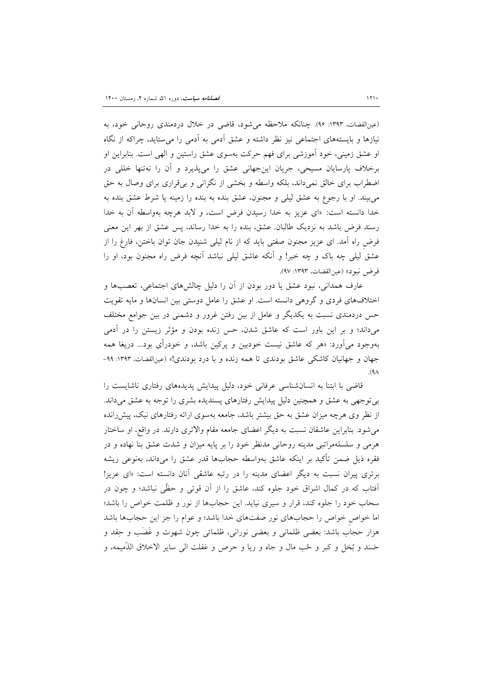(عینالفضات، ١٣٩٣: ٩۶). چنانکه ملاحظه میشود، قاضی در خلال دردمندی روحانی خود، به نیازها و بایستههای اجتماعی نیز نظر داشته و عشق آدمی به اَدمی را می ستاید، چراکه از نگاه او عشق زمینی، خود اَموزشی برای فهم حرکت بهسوی عشق راستین و الهی است. بنابراین او برخلاف پارسایان مسیحی، جریان اینجهانی عشق را میپذیرد و آن را نهتنها خللی در اضطراب برای خالق نمیداند، بلکه واسطه و بخشی از نگرانی و بیقراری برای وصال به حق می بیند. او با رجوع به عشق لیلی و مجنون، عشق بنده به بنده را زمینه یا شرط عشق بنده به خدا دانسته است: «ای عزیز به خدا رسیدن فرض است، و لابد هرچه بهواسطه آن به خدا رسند فرض باشد به نزدیک طالبان. عشق، بنده را به خدا رساند، پس عشق از بهر این معنی فرض راه أمد. ای عزیز مجنون صفتی باید که از نام لیلی شنیدن جان توان باختن، فارغ را از عشق ليلي چه باک و چه خبر! و اَنکه عاشق ليلي نباشد اَنچه فرض راه مجنون بود، او را فرض نبود» (عينالقضات، ١٣٩٣: ٩٧).

عارف همدانی، نبود عشق یا دور بودن از أن را دلیل چالشهای اجتماعی، تعصبها و اختلافهای فردی و گروهی دانسته است. او عشق را عامل دوستی بین انسانها و مایه تقویت حس دردمندی نسبت به یکدیگر و عامل از بین رفتن غرور و دشمنی در بین جوامع مختلف میداند؛ و بر این باور است که عاشق شدن، حس زنده بودن و مؤثر زیستن را در آدمی بهوجود میآورد: «هر که عاشق نیست خودبین و پرکین باشد، و خودرأی بود... دریغا همه جهان و جهانیان کاشکی عاشق بودندی تا همه زنده و با درد بودندی!» (عینالقضات، ۱۳۹۳: ۹۹- $(9<sub>A</sub>)$ 

قاضی با ابتنا به انسانشناسی عرفانی خود، دلیل پیدایش پدیدههای رفتاری ناشایست را بی توجهی به عشق و همچنین دلیل پیدایش رفتارهای پسندیده بشری را توجه به عشق میداند. از نظر وی هرچه میزان عشق به حق بیشتر باشد، جامعه بهسوی ارائه رفتارهای نیک، پیش رانده م شود. بنابراین عاشقان نسبت به دیگر اعضای جامعه مقام والاتری دارند. در واقع، او ساختار هرمی و سلسلهمراتبی مدینه روحانی مدنظر خود را بر پایه میزان و شدت عشق بنا نهاده و در فقره ذيل ضمن تأكيد بر اينكه عاشق بهواسطه حجابها قدر عشق را مىداند، بهنوعى ريشه برتری پیران نسبت به دیگر اعضای مدینه را در رتبه عاشقی آنان دانسته است: «ای عزیز! اّفتاب که در کمال اشراق خود جلوه کند، عاشق را از اّن قوتی و حظّی نباشد؛ و چون در سحاب خود را جلوه كند، قرار و سيرى نيايد. اين حجابها از نور و ظلمت خواص را باشد؛ اما خواص خواص را حجابهای نور صفتهای خدا باشد؛ و عوام را جز این حجابها باشد هزار حجاب باشد: بعضي ظلماني و بعضي نوراني، ظلماتي چون شهوت و غَضَب و حِقد و حَسَدَ و بُخل و كبر و حُب مال و جاه و ريا و حرص و غفلت الى ساير الاخلاق الذَّميمه، و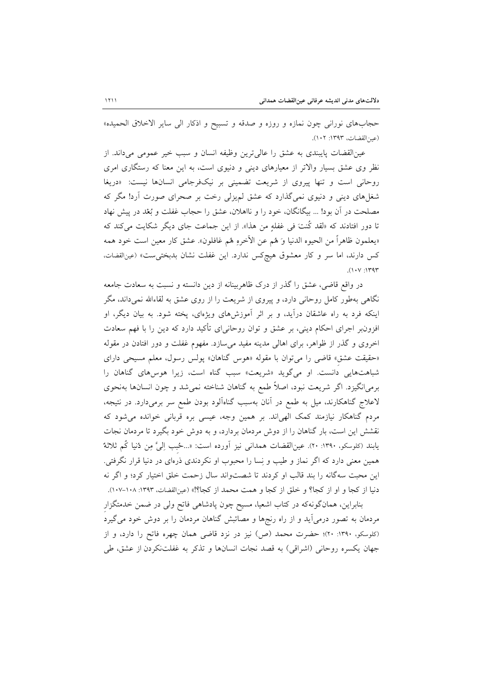حجابهای نوران<sub>ی</sub> چون نمازه و روزه و صدقه و تسبیح و اذکار ال<sub>ی</sub> سایر الاخلاق الحمیده» (عين القضات، ١٣٩٣: ١٠٢).

عین القضات پایبندی به عشق را عالی ترین وظیفه انسان و سبب خیر عمومی میداند. از نظر وی عشق بسیار والاتر از معیارهای دینی و دنیوی است، به این معنا که رستگاری امری روحانی است و تنها پیروی از شریعت تضمینی بر نیکفرجامی انسانها نیست: «دریغا شغلهای دینی و دنیوی نمیگذارد که عشق لم یزلی رخت بر صحرای صورت آرد! مگر که مصلحت در آن بود! … بیگانگان، خود را و نااهلان، عشق را حجاب غفلت و بُعْد در پیش نهاد تا دور افتادند که «لقد کُنتَ فی غفلهِ من هذا». از این جماعت جای دیگر شکایت میکند که «يعلمون ظاهراً من الحيوه الدنيا وَ هُم عن الآخرهِ هُم غافلون». عشق كار معين است خود همه كس دارند، اما سر و كار معشوق هيچكس ندارد. اين غفلت نشان بدبختي ست» (عينالقضات،  $(1.1)$ 

در واقع قاضی، عشق را گذر از درک ظاهربینانه از دین دانسته و نسبت به سعادت جامعه نگاهی بهطور کامل روحانی دارد، و پیروی از شریعت را از روی عشق به لقاءالله نمیداند، مگر اینکه فرد به راه عاشقان درآید، و بر اثر آموزشهای ویژهای، پخته شود. به بیان دیگر، او افزون بر اجرای احکام دینی، بر عشق و توان روحانی ای تأکید دارد که دین را با فهم سعادت اخروی و گذر از ظواهر، برای اهالی مدینه مفید می سازد. مفهوم غفلت و دور افتادن در مقوله «حقیقت عشق» قاضی را می توان با مقوله «هوس گناهان» پولس رسول، معلم مسیحی دارای شباهتهایی دانست. او میگوید «شریعت» سبب گناه است، زیرا هوسهای گناهان را برمی|نگیزد. اگر شریعت نبود، اصلاً طمع به گناهان شناخته نمیشد و چون انسانها بهنحوی لاعلاج گناهکارند، میل به طمع در آنان بهسبب گناهآلود بودن طمع سر برمیدارد. در نتیجه، مردم گناهکار نیازمند کمک الهیاند. بر همین وجه، عیسی بره قربانی خوانده می شود که نقشش این است، بار گناهان را از دوش مردمان بردارد، و به دوش خود بگیرد تا مردمان نجات يابند (كلوسكو، ١٣٩٠: ٢٠). عين|لقضات همداني نيز أورده است: «...حُبب إليَّ مِن دُنيا كُم ثلاثةٌ همین معنی دارد که اگر نماز و طیب و نِسا را محبوب او نکردندی ذرمای در دنیا قرار نگرفتی. این محبت سه گانه را بند قالب او کردند تا شصتواند سال زحمت خلق اختیار کرد؛ و اگر نه دنيا از كجا و او از كجا؟ و خلق از كجا و همت محمد از كجا؟!» (عينالقضات، ١٣٩٣: ١٠٨-١٠٧).

بنابراین، همانگونهکه در کتاب اشعیا، مسیح چون پادشاهی فاتح ولی در ضمن خدمتگزار مردمان به تصور درمیآید و از راه رنجها و مصائبش گناهان مردمان را بر دوش خود میگیرد (کلوسکو، ۱۳۹۰: ۲۰)؛ حضرت محمد (ص) نیز در نزد قاضی همان چهره فاتح را دارد، و از جهان يكسره روحاني (اشراقي) به قصد نجات انسانها و تذكر به غفلتنكردن از عشق، طي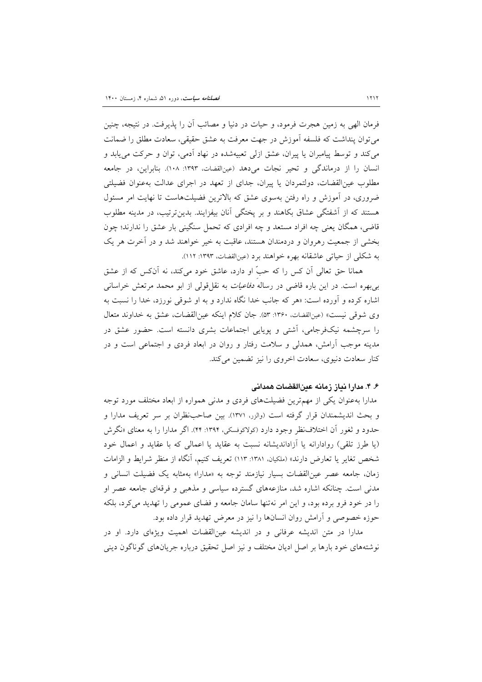فرمان الهي به زمين هجرت فرمود، و حيات در دنيا و مصائب أن را يذيرفت. در نتيجه، چنين می توان ینداشت که فلسفه آموزش در جهت معرفت به عشق حقیقی، سعادت مطلق را ضمانت می کند و توسط پیامبران یا پیران، عشق ازلی تعبیهشده در نهاد اَدمی، توان و حرکت می یابد و انسان را از درماندگی و تحیر نجات میدهد (عینالقضات، ۱۳۹۳: ۱۰۸). بنابراین، در جامعه مطلوب عین|لقضات، دولتمردان یا پیران، جدای از تعهد در اجرای عدالت بهعنوان فضیلتی ضروری، در آموزش و راه رفتن بهسوی عشق که بالاترین فضیلتهاست تا نهایت امر مسئول هستند که از آشفتگی عشاق بکاهند و بر پختگی آنان بیفزایند. بدینترتیب، در مدینه مطلوب قاضی، همگان یعنی چه افراد مستعد و چه افرادی که تحمل سنگینی بار عشق را ندارند؛ چون بخشی از جمعیت رهروان و دردمندان هستند، عاقبت به خیر خواهند شد و در آخرت هر یک به شکلی از حیاتی عاشقانه بهره خواهند برد (عینالقضات، ۱۳۹۳: ۱۱۲).

همانا حق تعالی آن کس را که حبّ او دارد، عاشق خود میکند، نه آنکس که از عشق بی بهره است. در این باره قاضی در رساله *دفاعیات* به نقل قولی از ابو محمد مرتعش خراسانی اشاره کرده و آورده است: «هر که جانب خدا نگاه ندارد و به او شوقی نورزد، خدا را نسبت به وي شوقي نيست» (عينالقضات، ١٣۶٠: ٥٣). جان كلام اينكه عين القضات، عشق به خداوند متعال را سرچشمه نیکفرجامی، آشتی و پویایی اجتماعات بشری دانسته است. حضور عشق در مدینه موجب آرامش، همدلی و سلامت رفتار و روان در ابعاد فردی و اجتماعی است و در كنار سعادت دنيوي، سعادت اخروي را نيز تضمين مي كند.

## ۶. ۴. مدارا نیاز زمانه عینالقضات همدانی

مدارا بهعنوان یکی از مهمترین فضیلتهای فردی و مدنی همواره از ابعاد مختلف مورد توجه و بحث اندیشمندان قرار گرفته است (والزر، ۱۳۷۱). بین صاحبنظران بر سر تعریف مدارا و حدود و ثغور آن اختلاف نظر وجود دارد (کولاکوفسکی، ۱۳۹۴: ۴۴). اگر مدارا را به معنای «نگرش (یا طرز تلقی) روادارانه یا آزاداندیشانه نسبت به عقاید یا اعمالی که با عقاید و اعمال خود شخص تغاير يا تعارض دارند» (ملكيان. ١٣٨١: ١١٣) تعريف كنيم، آنگاه از منظر شرايط و الزامات زمان، جامعه عصر عین|لقضات بسیار نیازمند توجه به «مدارا» بهمثابه یک فضیلت انسانی و مدنی است. چنانکه اشاره شد، منازعههای گسترده سیاسی و مذهبی و فرقهای جامعه عصر او را در خود فرو برده بود، و این امر نهتنها سامان جامعه و فضای عمومی را تهدید می کرد، بلکه حوزه خصوصی و آرامش روان انسانها را نیز در معرض تهدید قرار داده بود.

مدارا در متن اندیشه عرفانی و در اندیشه عینالقضات اهمیت ویژهای دارد. او در نوشتههای خود بارها بر اصل ادیان مختلف و نیز اصل تحقیق درباره جریانهای گوناگون دینی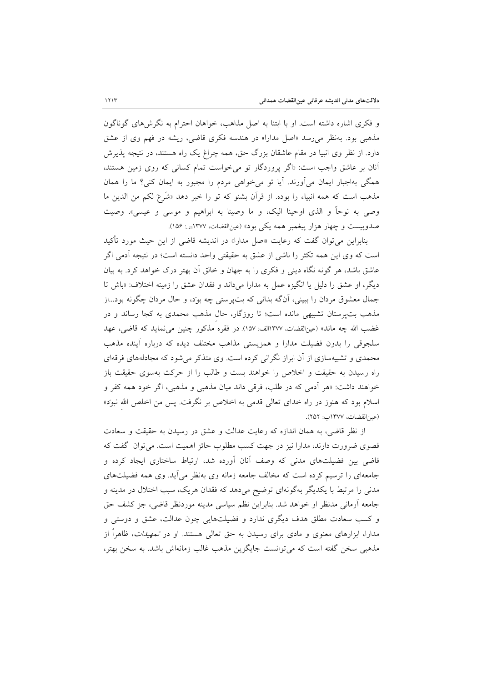و فكرى اشاره داشته است. او با ابتنا به اصل مذاهب، خواهان احترام به نگرش هاى گوناگون مذهبی بود. بهنظر می رسد «اصل مدارا» در هندسه فکری قاضی، ریشه در فهم وی از عشق دارد. از نظر وی انبیا در مقام عاشقان بزرگ حق، همه چراغ یک راه هستند، در نتیجه پذیرش آنان بر عاشق واجب است: «اگر پروردگار تو می خواست تمام کسانی که روی زمین هستند، همگی بهاجبار ایمان می آورند. آیا تو می خواهی مردم را مجبور به ایمان کنی؟ ما را همان مذهب است كه همه انبياء را بوده. از قرآن بشنو كه تو را خبر دهد «شَرعَ لكم من الدين ما وصی به نوحاً و الذی اوحینا الیک، و ما وصینا به ابراهیم و موسی و عیسی». وصیت صدوبيست و چهار هزار پيغمبر همه يكي بود» (عينالقضات، ١٣٧٧ان: ١٥۶).

بنابراین می توان گفت که رعایت «اصل مدارا» در اندیشه قاضی از این حیث مورد تأکید است كه وي اين همه تكثر را ناشي از عشق به حقيقتي واحد دانسته است؛ در نتيجه آدمي اگر عاشق باشد، هر گونه نگاه دینی و فکری را به جهان و خالق آن بهتر درک خواهد کرد. به بیان دیگر، او عشق را دلیل یا انگیزه عمل به مدارا میداند و فقدان عشق را زمینه اختلاف: «باش تا جمال معشوق مردان را ببینی، آنگه بدانی که بتپرستی چه بوَد، و حال مردان چگونه بود...از مذهب بت پرستان تشبیهی مانده است؛ تا روزگار، حال مذهب محمدی به کجا رساند و در غضب الله چه ماند» (عينالقضات، ١٣٧٧الف: ١٥٧). در فقره مذكور چنين مي نمايد كه قاضي، عهد سلجوقی را بدون فضیلت مدارا و همزیستی مذاهب مختلف دیده که درباره آینده مذهب محمدی و تشبیهسازی از آن ابراز نگرانی کرده است. وی متذکر می شود که مجادلههای فرقهای راه رسیدن به حقیقت و اخلاص را خواهند بست و طالب را از حرکت بهسوی حقیقت باز خواهند داشت: «هر آدمی که در طلب، فرقی داند میان مذهبی و مذهبی، اگر خود همه کفر و اسلام بود که هنوز در راه خدای تعال<sub>ی</sub> قدمی به اخلاص بر نگرفت. پس من اخلص الله نبود» (عين القضات، ١٣٧٧ب: ٢٥٢).

از نظر قاضی، به همان اندازه که رعایت عدالت و عشق در رسیدن به حقیقت و سعادت قصوی ضرورت دارند، مدارا نیز در جهت کسب مطلوب حائز اهمیت است. می توان گفت که قاضی بین فضیلتهای مدنی که وصف آنان آورده شد، ارتباط ساختاری ایجاد کرده و جامعهای را ترسیم کرده است که مخالف جامعه زمانه وی بهنظر می آید. وی همه فضیلتهای مدنی را مرتبط با یکدیگر بهگونهای توضیح میدهد که فقدان هریک، سبب اختلال در مدینه و جامعه أرماني مدنظر او خواهد شد. بنابراين نظم سياسي مدينه موردنظر قاضي، جز كشف حق و کسب سعادت مطلق هدف دیگری ندارد و فضیلتهایی چون عدالت، عشق و دوستی و مدارا، ابزارهای معنوی و مادی برای رسیدن به حق تعال<sub>ی</sub> هستند. او در *تمهیدات*، ظاهراً از مذهبی سخن گفته است که می توانست جایگزین مذهب غالب زمانهاش باشد. به سخن بهتر،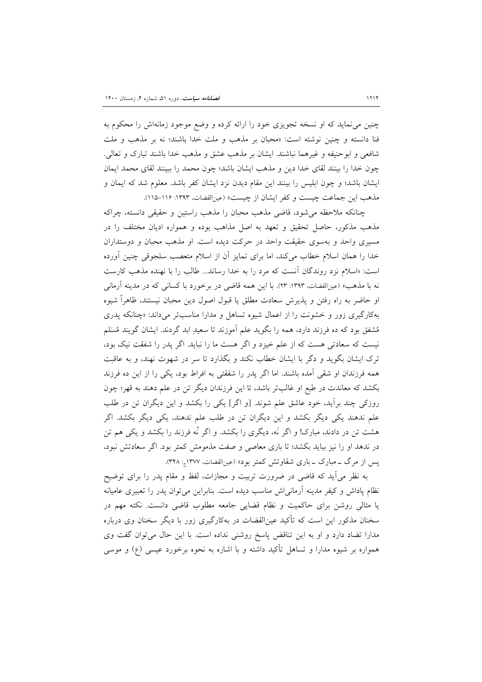چنین می(نماید که او نسخه تجویزی خود را ارائه کرده و وضع موجود زمانهاش را محکوم به فنا دانسته و چنین نوشته است: «محبان بر مذهب و ملت خدا باشند؛ نه بر مذهب و ملت شافعی و ابوحنیفه و غیرهما نباشند. ایشان بر مذهب عشق و مذهب خدا باشند تبارک و تعالی. چون خدا را بینند لقای خدا دین و مذهب ایشان باشد؛ چون محمد را ببینند لقای محمد ایمان ایشان باشد؛ و چون ابلیس را بینند این مقام دیدن نزد ایشان کفر باشد. معلوم شد که ایمان و مذهب اين جماعت چيست و كفر ايشان از چيست» (عين القضات، ١٣٩٣: ١١۶-١١٥).

چنانکه ملاحظه می شود، قاضی مذهب محبان را مذهب راستین و حقیقی دانسته، چراکه مذهب مذکور، حاصل تحقیق و تعهد به اصل مذاهب بوده و همواره ادیان مختلف را در مسیری واحد و بهسوی حقیقت واحد در حرکت دیده است. او مذهب محبان و دوستداران خدا را همان اسلام خطاب می کند، اما برای تمایز آن از اسلام متعصب سلجوقی چنین آورده است: «اسلام نزد روندگان آنست كه مرد را به خدا رساند... طالب را با نهنده مذهب كارست نه با مذهب» (عینالقضات، ۱۳۹۳: ۲۳). با این همه قاضی در برخورد با کسانی که در مدینه آرمانی او حاضر به راه رفتن و پذیرش سعادت مطلق یا قبول اصول دین محبان نیستند، ظاهراً شیوه به کارگیری زور و خشونت را از اعمال شیوه تساهل و مدارا مناسب تر می داند: «چنانکه پدری مُشفق بود که ده فرزند دارد، همه را بگوید علم آموزند تا سعیدِ ابد گردند. ایشان گویند مُسَلم نیست که سعادتی هست که از علم خیزد و اگر هست ما را نباید. اگر پدر را شفقت نیک بود، ترک ایشان بگوید و دگر با ایشان خطاب نکند و بگذارد تا سر در شهوت نهند، و به عاقبت همه فرزندان او شقی آمده باشند. اما اگر پدر را شفقتی به افراط بود، یکی را از این ده فرزند بکشد که معاندت در طبع او غالبتر باشد، تا این فرزندان دیگر تن در علم دهند به قهر؛ چون روزکی چند برآید، خود عاشق علم شوند. [و اگر] یکی را بکشد و این دیگران تن در طلب علم ندهند یکی دیگر بکشد و این دیگران تن در طلب علم ندهند، یکی دیگر بکشد. اگر هشت تن در دادند، مبارک! و اگر نَه، دیگری را بکشد. و اگر نُه فرزند را بکشد و یکی هم تن در ندهد او را نیز بباید بکشد؛ تا باری معاصی و صفت مذمومش کمتر بود. اگر سعادتش نبود، پس از مرگ ــ مبارک ــ باری شقاوتش کمتر بود» (عینالقضات، ۱۳۷۷ ـِ: ۳۴۸).

به نظر می آید که قاضی در ضرورت تربیت و مجازات، لفظ و مقام پدر را برای توضیح نظام پاداش و کیفر مدینه آرمانی اش مناسب دیده است. بنابراین می توان پدر را تعبیری عامیانه یا مثالی روشن برای حاکمیت و نظام قضایی جامعه مطلوب قاضی دانست. نکته مهم در سخنان مذکور این است که تأکید عین|لقضات در بهکارگیری زور با دیگر سخنان وی درباره مدارا تضاد دارد و او به این تناقض پاسخ روشنی نداده است. با این حال می توان گفت وی همواره بر شیوه مدارا و تساهل تأکید داشته و با اشاره به نحوه برخورد عیسی (ع) و موسی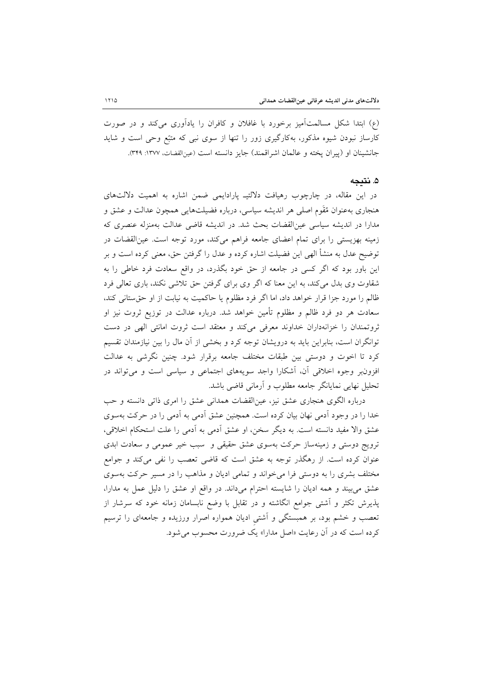(ع) ابتدا شکل مسالمتآمیز برخورد با غافلان و کافران را یادآوری میکند و در صورت کارساز نبودن شیوه مذکور، بهکارگیری زور را تنها از سوی نبی که متبّع وحی است و شاید جانشینان او (پیران پخته و عالمان اشراقمند) جایز دانسته است (عین القضات، ۱۳۷۷: ۳۴۹).

### ۵. نتىجە

در این مقاله، در چارچوب رهیافت دلالتیــ پارادایمی ضمن اشاره به اهمیت دلالتهای هنجاری بهعنوان مُقَوم اصلی هر اندیشه سیاسی، درباره فضیلتهایی همچون عدالت و عشق و مدارا در اندیشه سیاسی عین|لقضات بحث شد. در اندیشه قاضی عدالت بهمنزله عنصری که زمینه بهزیستی را برای تمام اعضای جامعه فراهم میکند، مورد توجه است. عین|لقضات در توضیح عدل به منشأ الهی این فضیلت اشاره کرده و عدل را گرفتن حق، معنی کرده است و بر این باور بود که اگر کسی در جامعه از حق خود بگذرد، در واقع سعادت فرد خاطی را به شقاوت وی بدل می کند، به این معنا که اگر وی برای گرفتن حق تلاشی نکند، باری تعالی فرد ظالم را مورد جزا قرار خواهد داد، اما اگر فرد مظلوم یا حاکمیت به نیابت از او حق ستانی کند، سعادت هر دو فرد ظالم و مظلوم تأمین خواهد شد. درباره عدالت در توزیع ثروت نیز او ثروتمندان را خزانهداران خداوند معرفی میکند و معتقد است ثروت امانتی الهی در دست توانگران است، بنابراین باید به درویشان توجه کرد و بخشی از آن مال را بین نیازمندان تقسیم کرد تا اخوت و دوستی بین طبقات مختلف جامعه برقرار شود. چنین نگرشی به عدالت افزونبر وجوه اخلاقی آن، أشكارا واجد سويههای اجتماعی و سیاسی است و می تواند در تحلیل نهایی نمایانگر جامعه مطلوب و آرمانی قاضی باشد.

درباره الگوی هنجاری عشق نیز، عینالقضات همدانی عشق را امری ذاتی دانسته و حب خدا را در وجود اَدمی نهان بیان کرده است. همچنین عشق اَدمی به اَدمی را در حرکت بهسوی عشق والا مفيد دانسته است. به ديگر سخن، او عشق آدمي به آدمي را علت استحكام اخلاقي، ترویج دوستی و زمینهساز حرکت بهسوی عشق حقیقی و سبب خیر عمومی و سعادت ابدی عنوان کرده است. از رهگذر توجه به عشق است که قاضی تعصب را نفی میکند و جوامع مختلف بشری را به دوستی فرا می خواند و تمامی ادیان و مذاهب را در مسیر حرکت بهسوی عشق می بیند و همه ادیان را شایسته احترام میداند. در واقع او عشق را دلیل عمل به مدارا، پذیرش تکثر و آشتی جوامع انگاشته و در تقابل با وضع نابسامان زمانه خود که سرشار از تعصب و خشم بود، بر همبستگی و آشتی ادیان همواره اصرار ورزیده و جامعهای را ترسیم کرده است که در آن رعایت «اصل مدارا» یک ضرورت محسوب می شود.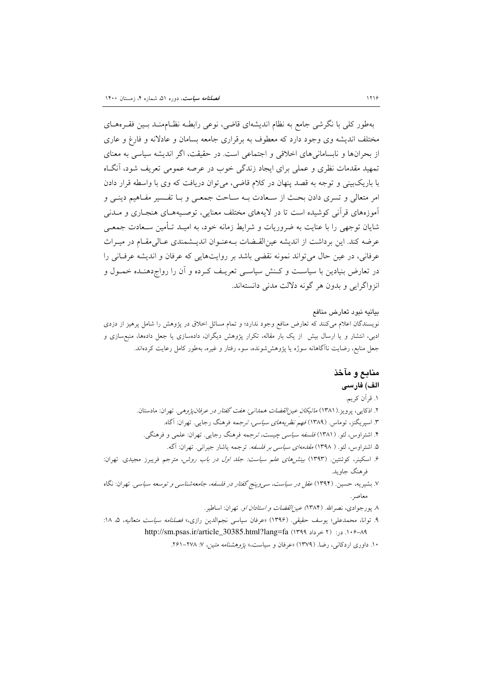# بهطور کلی با نگرشی جامع به نظام اندیشهای قاضی، نوعی رابطـه نظــامهنــد بــین فقــرههــای مختلف اندیشه وی وجود دارد که معطوف به برقراری جامعه بسامان و عادلانه و فارغ و عاری از بحرانها و نابسامانیهای اخلاقی و اجتماعی است. در حقیقت، اگر اندیشه سیاسی به معنای تمهید مقدمات نظری و عملی برای ایجاد زندگی خوب در عرصه عمومی تعریف شود، آنگIه با باریکبینی و توجه به قصد پنهان در کلام قاضی، می توان دریافت که وی با واسطه قرار دادن امر متعالی و تسری دادن بحث از سـعادت بـه سـاحت جمعـی و بـا تفـسير مفـاهيم دينـی و آموزههای قرآنی کوشیده است تا در لایههای مختلف معنایی، توصـیههـای هنجـاری و مــدنی شایان توجهی را با عنایت به ضروریات و شرایط زمانه خود، به امیـد تـأمین سـعادت جمعـی عرضه كند. اين برداشت از انديشه عينالقـضات بـهعنـوان انديـشمندي عـالىمقـام در ميـراث عرفاني، در عين حال مي تواند نمونه نقضي باشد بر روايتهايي كه عرفان و انديشه عرفـاني را در تعارض بنیادین با سیاست و کـنش سیاسـی تعریـف کـرده و آن را رواج‹هنـده خمـول و انزواگرایی و بدون هر گونه دلالت مدنی دانستهاند.

#### بيانيه نبود تعارض منافع

نویسندگان اعلام میکنند که تعارض منافع وجود ندارد؛ و تمام مسائل اخلاق در پژوهش را شامل پرهیز از دزدی ادبی، انتشار و یا ارسال بیش ً از یک بار مقاله، تکرار پژوهش دیگران، دادهسازی یا جعل دادهها، منبع سازی و جعل منابع، رضایت ناآگاهانه سوژه یا پژوهششونده، سوء رفتار و غیره، بهطور کامل رعایت کردهاند.

# منابع و مآخذ الف) فارسى

# ۱. قرآن کریم.

- ۲. اذکایی، پرویز.(۱۳۸۱) *ماتیکان عینالقضات همدانی: هفت گفتار در عرفان پژوهی.* تهران: مادستان. ۳. اسپریگنز، توماس. (۱۳۸۹) *فهم نظریههای سیاسی، ترجمه* فرهنگ رجایی. تهران: آگاه. ۴. اشتراوس، لئو. (۱۳۸۱) *فلسفه سیاسی چیست، ترجمه* فرهنگ رجایی. تهران: علمی و فرهنگی.
	- ۵. اشتراوس، لئو. ( ۱۳۹۸) *مقدمهای سیاسی بر فلسفه.* ترجمه یاشار جیرانی. تهران: آگه.
- ۶. اسکینر، کوئنتین. (۱۳۹۳) بین*شهای علم سیاست: جلد اول در باب روش،* مترجم فریبرز مجیدی. تهران: فرهنگ جاويد.
- ۷. بشیریه، حسین. (۱۳۹۴) *عقل در سیاست، س<sub>ی </sub>وینج گفتار در فلسفه، جامعهشناسی و توسعه سیاسی.* تهران: نگاه معاصر .
	- ۸. پورجوادی، نصرالله. (۱۳۸۴) *عین القضات و استادان او.* تهران: اساطیر.
- ۹. توانا، محمدعلي؛ يوسف حقيقي. (۱۳۹۶) «عرفان سياسي نجمالدين رازي» *فصلنامه سياست متعاليه*، ۵، ۱۸: 1.9-٨٩. در: (٢ خرداد ١٣٩٩) http://sm.psas.ir/article 30385.html?lang=fa

۱۰. داوری اردکانی، رضا. (۱۳۷۹) «عرفان و سیاست» *یژوهشنامه متین، ۷: ۲*۷۸-۲۶۱.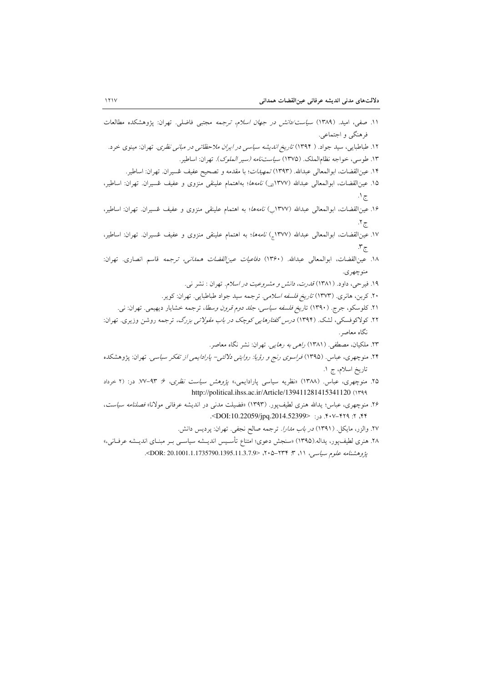- ١١. صفى، اميد. (١٣٨٩) *سياست/دانش در جهان اسلام، ترجمه* مجتبى فاضلى. تهران: پژوهشكده مطالعات فرهنگي و اجتماعي.
- ۱۲. طباطبایی، سید جواد. ( ۱۳۹۴) *تاریخ اندیشه سیاسی در ایران ملاحظاتی در مبانی نظری.* تهران: مینوی خرد.

۱۳. طوسی، خواجه نظامالملک. (۱۳۷۵) *سیاستنامه (سیر الملوک*). تهران: اساطیر.

- ١۴. عينالقضات، ابوالمعالي عبدالله. (١٣٩٣) تمهي*دات*؛ با مقدمه و تصحيح عفيف غسيران. تهران: اساطير.
- ۱۵. عین|لقضات، ابوالمعالی عبدالله (۱۳۷۷<sub>ان</sub>) *نامهها*؛ بهاهتمام علینقی منزوی و عفیف عُسیران. تهران: اساطیر، ج ۱.
- ۱۶. عین القضات، ابوالمعالی عبدالله (۱۳۷۷) *نامهها*؛ به اهتمام علینقی منزوی و عفیف عُسیران. تهران: اساطیر، ج ۲.
- ۱۷. عین|لقضات، ابوالمعالی عبدالله (۱۳۷۷<sub>ه</sub>) *نامهها*؛ به اهتمام علینقی منزوی و عفیف عُسیران. تهران: اساطیر،  $\mathfrak{r}_{\overline{\mathbb{C}}}$
- ١٨. عينالقضات، ابوالمعالى عبدالله. (١٣۶٠) *دفاعيات عين القضات همداني، ترجمه* قاسم انصارى. تهران: منوچهر ی.
	- ۱۹. فیرحی، داود. (۱۳۸۱) *قدرت، دانش و مشروعیت در اسلام.* تهران : نشر ن<sub>ها</sub>.
	- ۲۰. کربن، هانری. (۱۳۷۳) *تاریخ فلسفه اسلامی.* ترجمه سید جواد طباطبایی. تهران: کویر.
	- ۲۱. کلوسکو، جرج. (۱۳۹۰) تار*یخ فلسفه سیاسی، جلد دوم قرون وسطا*، ترجمه خشایار دیهیمی. تهران: نی.
- ۲۲. کولاکوفسکی، لشک. (۱۳۹۴) *درس گفتارهایی کوچک در باب مقولاتی بزرگ،* ترجمه روشن وزیری. تهران: نگاه معاصر.
	- ۲۳. ملکیان، مصطفی. (۱۳۸۱) *راهی به رهایی.* تهران: نشر نگاه معاصر.
- ۲۴. منوچهری، عباس. (۱۳۹۵) *فراسوی رنج و رؤیا: روایتی دلالتی- پارادایمی از تفکر سیاسی.* تهران: پژوهشکده تاريخ اسلام، ج ١.
- ۲۵. منوچهری، عباس. (۱۳۸۸) «نظریه سیاسی پارادایمی» پروهش سی*است نظری*، ۶: ۹۳-۷۷. در: (۲ خرداد http://political.ihss.ac.ir/Article/139411281415341120 (١٣٩٩
- ۲۶. منوچهری، عباس؛ یدالله هنری لطیف یور. (۱۳۹۳) «فضیلت مدنی در اندیشه عرفانی مولانا» *فصلنامه سیاست*، ۴۴، ۲: ۴۲۹–۴۰۷. د.: <DOI:10.22059/jpg.2014.52399>.
	- ٢٧. والزر، مايكل. (١٣٩١) *در باب مدارا.* ترجمه صالح نجفي. تهران: پرديس دانش.
- ٢٨. هنري لطيفpپور، يداله.(١٣٩٥) «سنجش دعوي؛ امتناع تأسـيس انديــشه سياســي بــر مبنــاي انديــشه عرفــاني،» پژوهشنامه علوم سیاسی، ۱۱، ۳: ۲۳۴–۲۰۵، <DOR: 20.1001.1.1735790.1395.11.3.7.9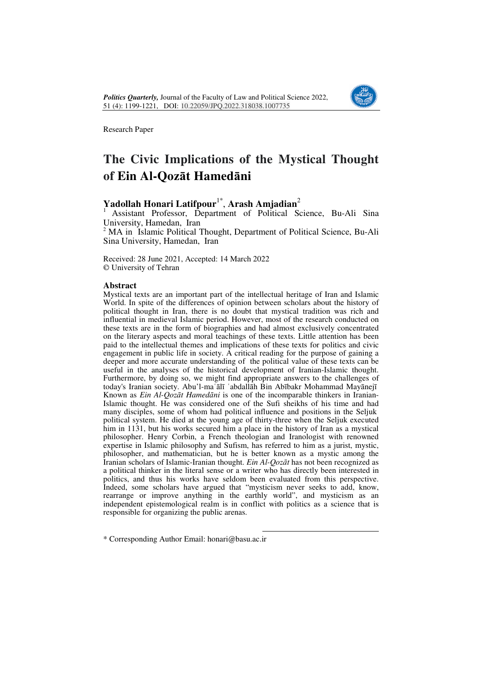

Research Paper

# **The Civic Implications of the Mystical Thought of Ein Al-Qozāt Hamedāni**

## **Yadollah Honari Latifpour**1\* , **Arash Amjadian**<sup>2</sup>

<sup>1</sup>Assistant Professor, Department of Political Science, Bu-Ali Sina University, Hamedan, Iran

<sup>2</sup> MA in Islamic Political Thought, Department of Political Science, Bu-Ali Sina University, Hamedan, Iran

Received: 28 June 2021, Accepted: 14 March 2022 © University of Tehran

### **Abstract**

Mystical texts are an important part of the intellectual heritage of Iran and Islamic World. In spite of the differences of opinion between scholars about the history of political thought in Iran, there is no doubt that mystical tradition was rich and influential in medieval Islamic period. However, most of the research conducted on these texts are in the form of biographies and had almost exclusively concentrated on the literary aspects and moral teachings of these texts. Little attention has been paid to the intellectual themes and implications of these texts for politics and civic engagement in public life in society. A critical reading for the purpose of gaining a deeper and more accurate understanding of the political value of these texts can be useful in the analyses of the historical development of Iranian-Islamic thought. Furthermore, by doing so, we might find appropriate answers to the challenges of today's Iranian society. Abu'l-maʿālī ʿabdallāh Bin Abībakr Mohammad Mayānejī Known as *Ein Al-Qozāt Hamedāni* is one of the incomparable thinkers in Iranian-Islamic thought. He was considered one of the Sufi sheikhs of his time and had many disciples, some of whom had political influence and positions in the Seljuk political system. He died at the young age of thirty-three when the Seljuk executed him in 1131, but his works secured him a place in the history of Iran as a mystical philosopher. Henry Corbin, a French theologian and Iranologist with renowned expertise in Islamic philosophy and Sufism, has referred to him as a jurist, mystic, philosopher, and mathematician, but he is better known as a mystic among the Iranian scholars of Islamic-Iranian thought. *Ein Al-Qozāt* has not been recognized as a political thinker in the literal sense or a writer who has directly been interested in politics, and thus his works have seldom been evaluated from this perspective. Indeed, some scholars have argued that "mysticism never seeks to add, know, rearrange or improve anything in the earthly world", and mysticism as an independent epistemological realm is in conflict with politics as a science that is responsible for organizing the public arenas.

 $\overline{a}$ 

\* Corresponding Author Email: honari@basu.ac.ir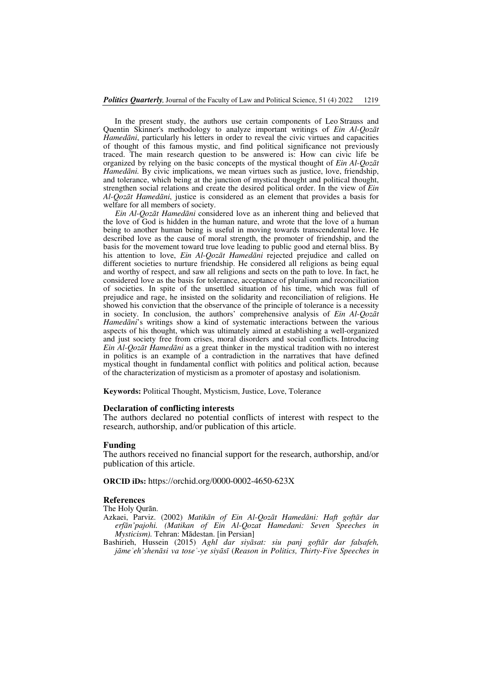In the present study, the authors use certain components of Leo Strauss and Quentin Skinner's methodology to analyze important writings of *Ein Al-Qozāt Hamedāni*, particularly his letters in order to reveal the civic virtues and capacities of thought of this famous mystic, and find political significance not previously traced. The main research question to be answered is: How can civic life be organized by relying on the basic concepts of the mystical thought of *Ein Al-Qozāt Hamedāni.* By civic implications, we mean virtues such as justice, love, friendship, and tolerance, which being at the junction of mystical thought and political thought, strengthen social relations and create the desired political order. In the view of *Ein Al-Qozāt Hamedāni*, justice is considered as an element that provides a basis for welfare for all members of society.

*Ein Al-Qozāt Hamedāni* considered love as an inherent thing and believed that the love of God is hidden in the human nature, and wrote that the love of a human being to another human being is useful in moving towards transcendental love. He described love as the cause of moral strength, the promoter of friendship, and the basis for the movement toward true love leading to public good and eternal bliss. By his attention to love, *Ein Al-Qozāt Hamedāni* rejected prejudice and called on different societies to nurture friendship. He considered all religions as being equal and worthy of respect, and saw all religions and sects on the path to love. In fact, he considered love as the basis for tolerance, acceptance of pluralism and reconciliation of societies. In spite of the unsettled situation of his time, which was full of prejudice and rage, he insisted on the solidarity and reconciliation of religions. He showed his conviction that the observance of the principle of tolerance is a necessity in society. In conclusion, the authors' comprehensive analysis of *Ein Al-Qozāt Hamedāni*'s writings show a kind of systematic interactions between the various aspects of his thought, which was ultimately aimed at establishing a well-organized and just society free from crises, moral disorders and social conflicts. Introducing *Ein Al-Qozāt Hamedāni* as a great thinker in the mystical tradition with no interest in politics is an example of a contradiction in the narratives that have defined mystical thought in fundamental conflict with politics and political action, because of the characterization of mysticism as a promoter of apostasy and isolationism.

**Keywords:** Political Thought, Mysticism, Justice, Love, Tolerance

#### **Declaration of conflicting interests**

The authors declared no potential conflicts of interest with respect to the research, authorship, and/or publication of this article.

#### **Funding**

The authors received no financial support for the research, authorship, and/or publication of this article.

**ORCID iDs:** https://orchid.org/0000-0002-4650-623X

### **References**

The Holy Qurān.

Azkaei, Parviz. (2002) *Matikān of Ein Al-Qozāt Hamedāni: Haft goftār dar erfān'pajohi. (Matikan of Ein Al-Qozat Hamedani: Seven Speeches in Mysticism).* Tehran: Mādestan. [in Persian]

Bashirieh, Hussein (2015) *Aghl dar siyāsat: siu panj goftār dar falsafeh, jāmeʿeh'shenāsi va toseʿ-ye siyāsī* (*Reason in Politics, Thirty-Five Speeches in*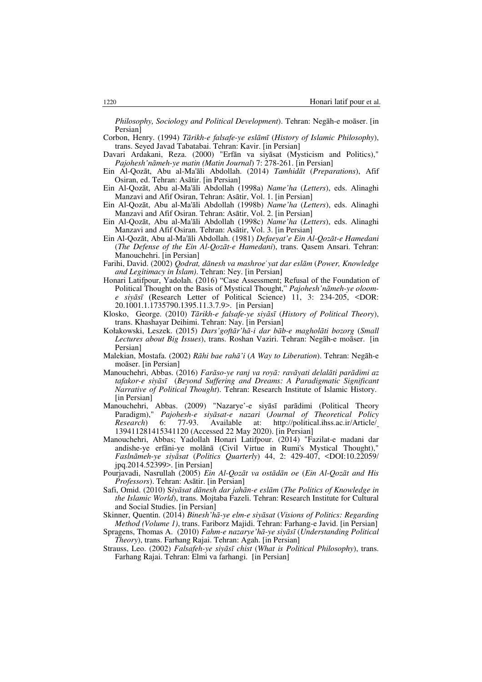*Philosophy, Sociology and Political Development*). Tehran: Negāh-e moāser. [in Persian]

Corbon, Henry. (1994) *Tārikh-e falsafe-ye eslāmī* (*History of Islamic Philosophy*), trans. Seyed Javad Tabatabai. Tehran: Kavir. [in Persian]

- Davari Ardakani, Reza. (2000) "Erfān va siyāsat (Mysticism and Politics)," *Pajohesh'nāmeh-ye matin (Matin Journal*) 7: 278-261. [in Persian]
- Ein Al-Qozāt, Abu al-Ma'āli Abdollah. (2014) *Tamhidāt* (*Preparations*), Afif Osiran, ed. Tehran: Asātir. [in Persian]
- Ein Al-Qozāt, Abu al-Ma'āli Abdollah (1998a) *Name'ha* (*Letters*), eds. Alinaghi Manzavi and Afif Osiran, Tehran: Asātir, Vol. 1. [in Persian]
- Ein Al-Qozāt, Abu al-Ma'āli Abdollah (1998b) *Name'ha* (*Letters*), eds. Alinaghi Manzavi and Afif Osiran. Tehran: Asātir, Vol. 2. [in Persian]
- Ein Al-Qozāt, Abu al-Ma'āli Abdollah (1998c) *Name'ha* (*Letters*), eds. Alinaghi Manzavi and Afif Osiran. Tehran: Asātir, Vol. 3. [in Persian]
- Ein Al-Qozāt, Abu al-Ma'āli Abdollah. (1981) *Defaeyat'e Ein Al-Qozāt-e Hamedani* (*The Defense of the Ein Al-Qozāt-e Hamedani*), trans. Qasem Ansari. Tehran: Manouchehri. [in Persian]
- Farihi, David. (2002) *Qodrat, dānesh va mashroe*ʿ*yat dar eslām* (*Power, Knowledge and Legitimacy in Islam)*. Tehran: Ney. [in Persian]
- Honari Latifpour, Yadolah. (2016) "Case Assessment; Refusal of the Foundation of Political Thought on the Basis of Mystical Thought," *Pajohesh'nāmeh-ye oloome siyāsī* (Research Letter of Political Science) 11, 3: 234-205, <DOR: 20.1001.1.1735790.1395.11.3.7.9>. [in Persian]
- Klosko, George. (2010) *Tārikh-e falsafe-ye siyāsī* (*History of Political Theory*), trans. Khashayar Deihimi. Tehran: Nay. [in Persian]
- Kołakowski, Leszek. (2015) *Dars'goftār'hā-i dar bāb-e magholāti bozorg* (*Small Lectures about Big Issues*), trans. Roshan Vaziri. Tehran: Negāh-e moāser. [in Persian]
- Malekian, Mostafa. (2002) *Rāhi bae rahā'i* (*A Way to Liberation*). Tehran: Negāh-e moāser. [in Persian]
- Manouchehri, Abbas. (2016) *Farāso-ye ranj va royā: ravāyati delalāti parādimi az tafakor-e siyāsī* (*Beyond Suffering and Dreams: A Paradigmatic Significant Narrative of Political Thought*). Tehran: Research Institute of Islamic History. [in Persian]
- Manouchehri, Abbas. (2009) "Nazarye'-e siyāsī parādimi (Political Theory Paradigm)," *Pajohesh-e siyāsat-e nazari* (*Journal of Theoretical Policy Research*) 6: 77-93. Available at: http://political.ihss.ac.ir/Article/ 139411281415341120 (Accessed 22 May 2020). [in Persian]
- Manouchehri, Abbas; Yadollah Honari Latifpour. (2014) "Fazilat-e madani dar andishe-ye erfāni-ye molānā (Civil Virtue in Rumi's Mystical Thought)," *Faslnāmeh-ye siyāsat* (*Politics Quarterly*) 44, 2: 429-407, <DOI:10.22059/ jpq.2014.52399>. [in Persian]
- Pourjavadi, Nasrullah (2005) *Ein Al-Qozāt va ostādān oe* (*Ein Al-Qozāt and His Professors*). Tehran: Asātir. [in Persian]
- Safi, Omid. (2010) S*iyāsat dānesh dar jahān-e eslām* (*The Politics of Knowledge in the Islamic World*), trans. Mojtaba Fazeli. Tehran: Research Institute for Cultural and Social Studies. [in Persian]
- Skinner, Quentin. (2014) *Binesh'hā-ye elm-e siyāsat* (*Visions of Politics: Regarding Method (Volume 1)*, trans. Fariborz Majidi. Tehran: Farhang-e Javid. [in Persian]
- Spragens, Thomas A. (2010) *Fahm-e nazarye'hā-ye siyāsī* (*Understanding Political Theory*), trans. Farhang Rajai. Tehran: Agah. [in Persian]
- Strauss, Leo. (2002) *Falsafeh-ye siyāsī chist* (*What is Political Philosophy*), trans. Farhang Rajai. Tehran: Elmi va farhangi. [in Persian]